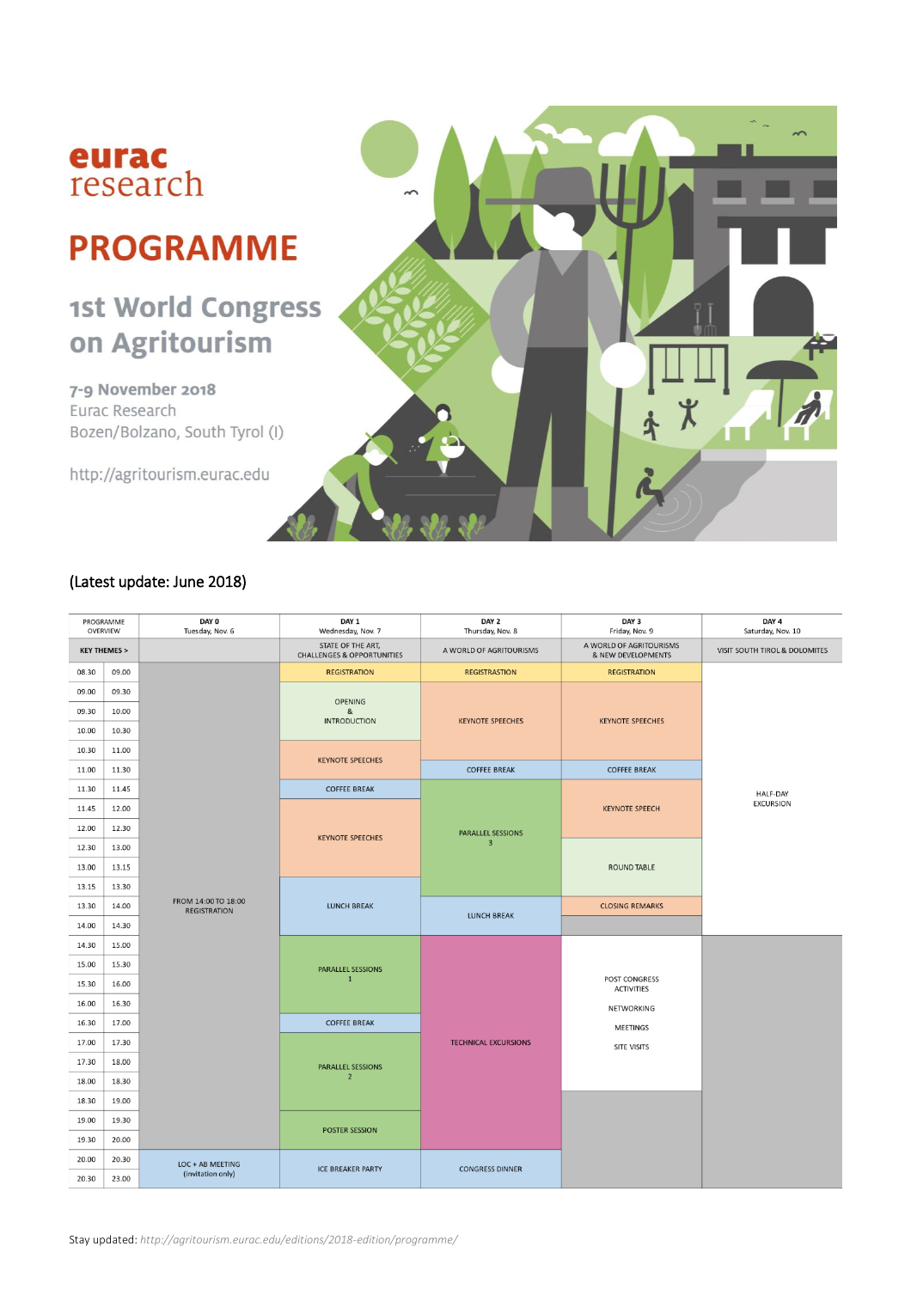

# **PROGRAMME**

## 1st World Congress on Agritourism

7-9 November 2018 Eurac Research Bozen/Bolzano, South Tyrol (I)

http://agritourism.eurac.edu



| PROGRAMME<br>OVERVIEW  |       | DAY 0<br>Tuesday, Nov. 6                   | DAY 1<br>Wednesday, Nov. 7                                 | DAY 2<br>Thursday, Nov. 8           | DAY 3<br>Friday, Nov. 9                       | DAY 4<br>Saturday, Nov. 10    |  |
|------------------------|-------|--------------------------------------------|------------------------------------------------------------|-------------------------------------|-----------------------------------------------|-------------------------------|--|
| <b>KEY THEMES &gt;</b> |       |                                            | STATE OF THE ART,<br><b>CHALLENGES &amp; OPPORTUNITIES</b> | A WORLD OF AGRITOURISMS             | A WORLD OF AGRITOURISMS<br>& NEW DEVELOPMENTS | VISIT SOUTH TIROL & DOLOMITES |  |
| 08.30                  | 09.00 |                                            | <b>REGISTRATION</b>                                        | <b>REGISTRASTION</b>                | <b>REGISTRATION</b>                           |                               |  |
| 09.00                  | 09.30 |                                            | <b>OPENING</b><br>&<br><b>INTRODUCTION</b>                 | <b>KEYNOTE SPEECHES</b>             | <b>KEYNOTE SPEECHES</b>                       |                               |  |
| 09.30                  | 10.00 |                                            |                                                            |                                     |                                               |                               |  |
| 10.00                  | 10.30 |                                            |                                                            |                                     |                                               |                               |  |
| 10.30                  | 11.00 |                                            | <b>KEYNOTE SPEECHES</b>                                    |                                     |                                               |                               |  |
| 11.00                  | 11.30 |                                            |                                                            | <b>COFFEE BREAK</b>                 | <b>COFFEE BREAK</b>                           |                               |  |
| 11.30                  | 11.45 |                                            | <b>COFFEE BREAK</b>                                        |                                     |                                               | <b>HALF-DAY</b>               |  |
| 11.45                  | 12.00 |                                            |                                                            |                                     | <b>KEYNOTE SPEECH</b>                         | <b>EXCURSION</b>              |  |
| 12.00                  | 12.30 |                                            |                                                            | PARALLEL SESSIONS<br>$\overline{3}$ |                                               |                               |  |
| 12.30                  | 13.00 |                                            | <b>KEYNOTE SPEECHES</b>                                    |                                     | <b>ROUND TABLE</b>                            |                               |  |
| 13.00                  | 13.15 |                                            |                                                            |                                     |                                               |                               |  |
| 13.15                  | 13.30 |                                            |                                                            |                                     |                                               |                               |  |
| 13.30                  | 14.00 | FROM 14:00 TO 18:00<br><b>REGISTRATION</b> | <b>LUNCH BREAK</b>                                         |                                     | <b>CLOSING REMARKS</b>                        |                               |  |
| 14.00                  | 14.30 |                                            |                                                            | <b>LUNCH BREAK</b>                  |                                               |                               |  |
| 14.30                  | 15.00 |                                            |                                                            |                                     | <b>POST CONGRESS</b><br><b>ACTIVITIES</b>     |                               |  |
| 15.00                  | 15.30 |                                            | <b>PARALLEL SESSIONS</b>                                   |                                     |                                               |                               |  |
| 15.30                  | 16.00 |                                            | $\mathbf{1}$                                               |                                     |                                               |                               |  |
| 16.00                  | 16.30 |                                            |                                                            |                                     | NETWORKING                                    |                               |  |
| 16.30                  | 17.00 |                                            | <b>COFFEE BREAK</b>                                        |                                     | MEETINGS                                      |                               |  |
| 17.00                  | 17.30 |                                            |                                                            | <b>TECHNICAL EXCURSIONS</b>         | <b>SITE VISITS</b>                            |                               |  |
| 17.30                  | 18.00 |                                            | <b>PARALLEL SESSIONS</b><br>$\overline{2}$                 |                                     |                                               |                               |  |
| 18.00                  | 18.30 |                                            |                                                            |                                     |                                               |                               |  |
| 18.30                  | 19.00 |                                            |                                                            |                                     |                                               |                               |  |
| 19.00                  | 19.30 |                                            |                                                            |                                     |                                               |                               |  |
| 19.30                  | 20.00 |                                            | <b>POSTER SESSION</b>                                      |                                     |                                               |                               |  |
| 20.00                  | 20.30 | LOC + AB MEETING                           | <b>ICE BREAKER PARTY</b>                                   | <b>CONGRESS DINNER</b>              |                                               |                               |  |
| 20.30                  | 23.00 | (invitation only)                          |                                                            |                                     |                                               |                               |  |

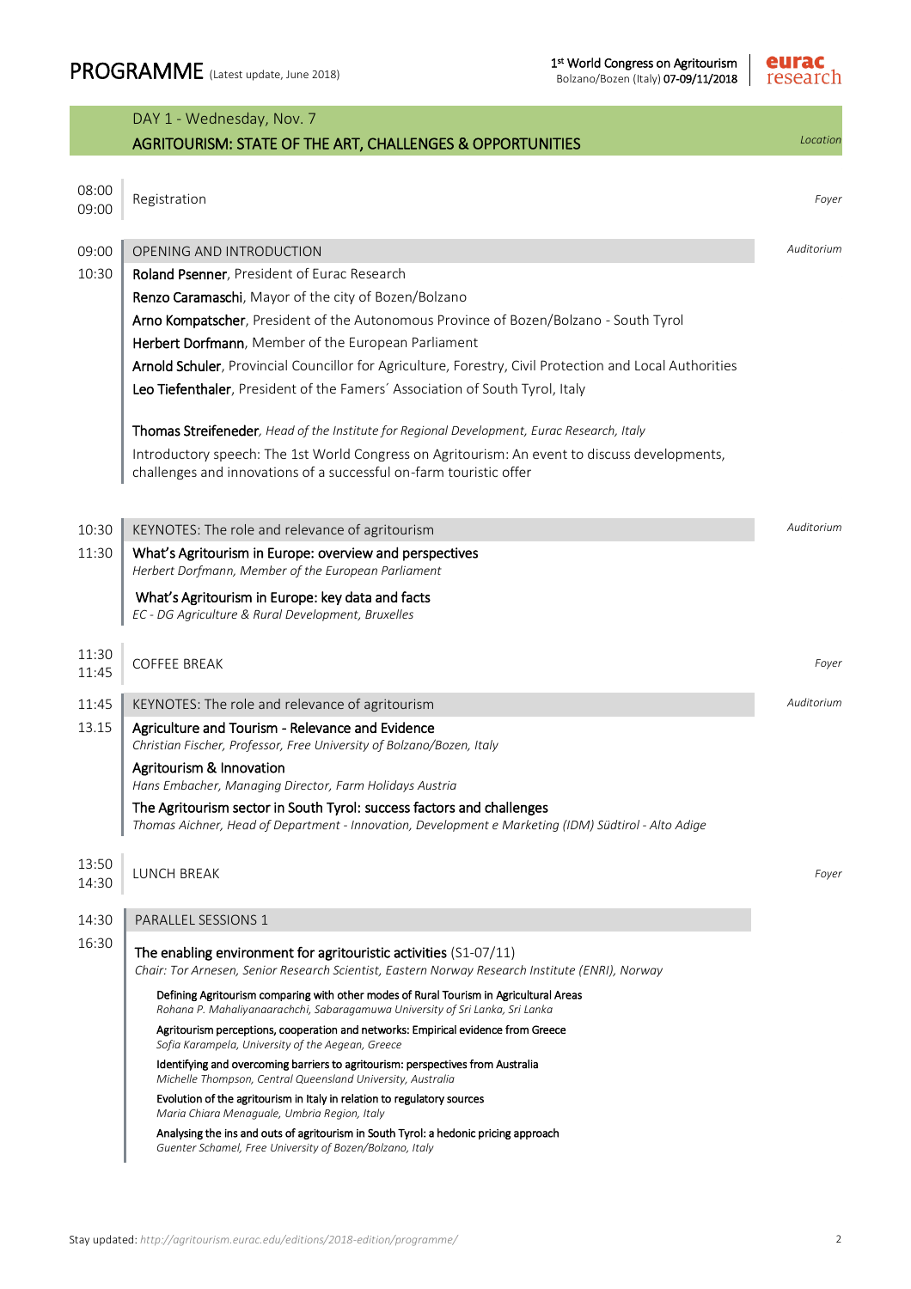

|                | DAY 1 - Wednesday, Nov. 7                                                                                                                                                     |            |
|----------------|-------------------------------------------------------------------------------------------------------------------------------------------------------------------------------|------------|
|                | AGRITOURISM: STATE OF THE ART, CHALLENGES & OPPORTUNITIES                                                                                                                     | Location   |
| 08:00          |                                                                                                                                                                               |            |
| 09:00          | Registration                                                                                                                                                                  | Foyer      |
| 09:00          | OPENING AND INTRODUCTION                                                                                                                                                      | Auditorium |
| 10:30          | Roland Psenner, President of Eurac Research                                                                                                                                   |            |
|                | Renzo Caramaschi, Mayor of the city of Bozen/Bolzano                                                                                                                          |            |
|                | Arno Kompatscher, President of the Autonomous Province of Bozen/Bolzano - South Tyrol                                                                                         |            |
|                | Herbert Dorfmann, Member of the European Parliament                                                                                                                           |            |
|                | Arnold Schuler, Provincial Councillor for Agriculture, Forestry, Civil Protection and Local Authorities                                                                       |            |
|                | Leo Tiefenthaler, President of the Famers' Association of South Tyrol, Italy                                                                                                  |            |
|                | Thomas Streifeneder, Head of the Institute for Regional Development, Eurac Research, Italy                                                                                    |            |
|                | Introductory speech: The 1st World Congress on Agritourism: An event to discuss developments,                                                                                 |            |
|                | challenges and innovations of a successful on-farm touristic offer                                                                                                            |            |
|                |                                                                                                                                                                               |            |
| 10:30          | KEYNOTES: The role and relevance of agritourism                                                                                                                               | Auditorium |
| 11:30          | What's Agritourism in Europe: overview and perspectives<br>Herbert Dorfmann, Member of the European Parliament                                                                |            |
|                | What's Agritourism in Europe: key data and facts<br>EC - DG Agriculture & Rural Development, Bruxelles                                                                        |            |
|                |                                                                                                                                                                               |            |
| 11:30<br>11:45 | <b>COFFEE BREAK</b>                                                                                                                                                           | Foyer      |
| 11:45          | KEYNOTES: The role and relevance of agritourism                                                                                                                               | Auditorium |
| 13.15          | Agriculture and Tourism - Relevance and Evidence<br>Christian Fischer, Professor, Free University of Bolzano/Bozen, Italy                                                     |            |
|                | Agritourism & Innovation<br>Hans Embacher, Managing Director, Farm Holidays Austria                                                                                           |            |
|                | The Agritourism sector in South Tyrol: success factors and challenges<br>Thomas Aichner, Head of Department - Innovation, Development e Marketing (IDM) Südtirol - Alto Adige |            |
|                |                                                                                                                                                                               |            |
| 13:50<br>14:30 | LUNCH BREAK                                                                                                                                                                   | Foyer      |
| 14:30          | <b>PARALLEL SESSIONS 1</b>                                                                                                                                                    |            |
| 16:30          | The enabling environment for agritouristic activities (S1-07/11)<br>Chair: Tor Arnesen, Senior Research Scientist, Eastern Norway Research Institute (ENRI), Norway           |            |
|                | Defining Agritourism comparing with other modes of Rural Tourism in Agricultural Areas<br>Rohana P. Mahaliyanaarachchi, Sabaragamuwa University of Sri Lanka, Sri Lanka       |            |
|                | Agritourism perceptions, cooperation and networks: Empirical evidence from Greece<br>Sofia Karampela, University of the Aegean, Greece                                        |            |
|                | Identifying and overcoming barriers to agritourism: perspectives from Australia<br>Michelle Thompson, Central Queensland University, Australia                                |            |
|                | Evolution of the agritourism in Italy in relation to regulatory sources<br>Maria Chiara Menaguale, Umbria Region, Italy                                                       |            |
|                | Analysing the ins and outs of agritourism in South Tyrol: a hedonic pricing approach<br>Guenter Schamel, Free University of Bozen/Bolzano, Italy                              |            |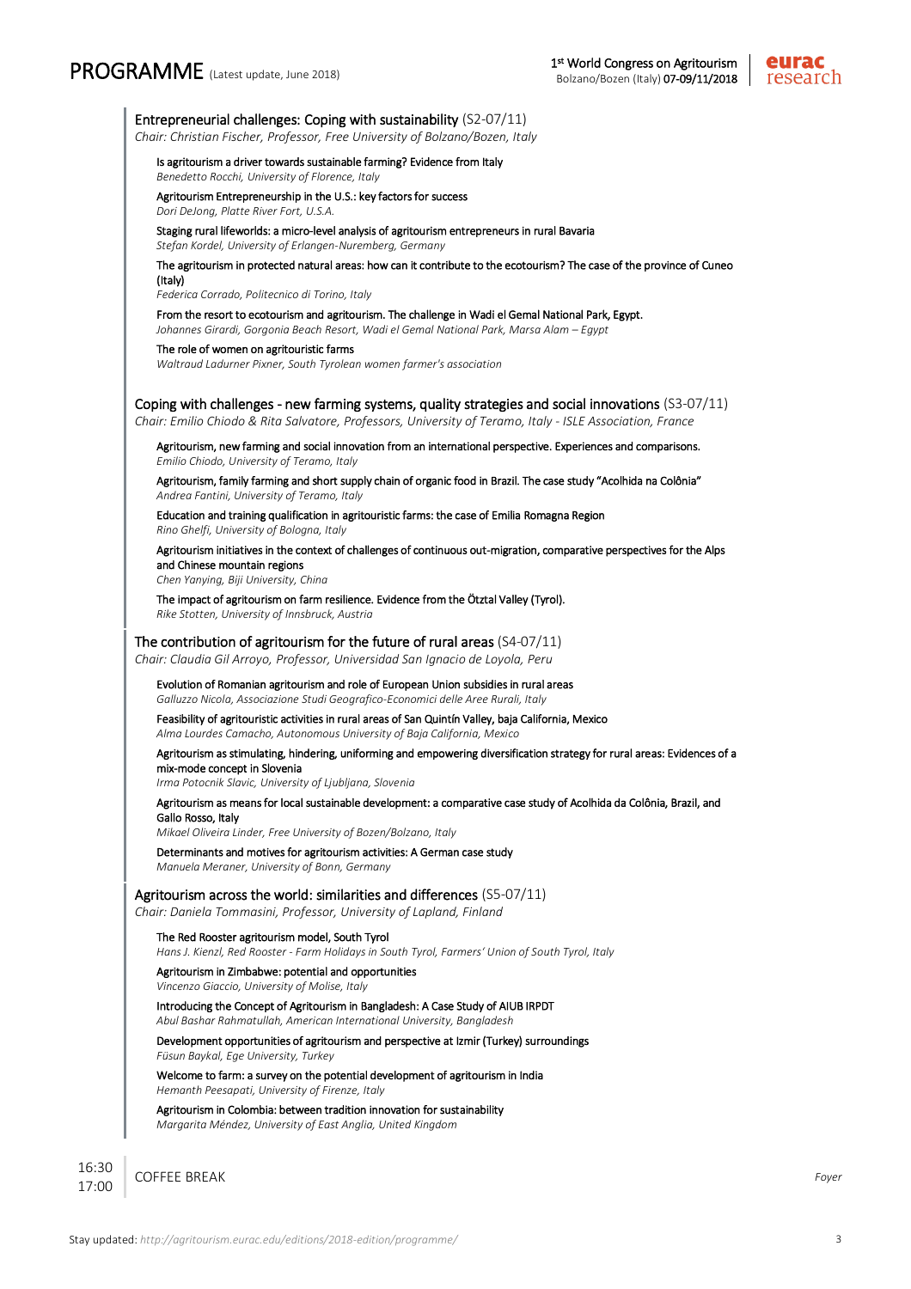## PROGRAMME (Latest update, June 2018)

I



Entrepreneurial challenges: Coping with sustainability (S2-07/11)

*Chair: Christian Fischer, Professor, Free University of Bolzano/Bozen, Italy*

Is agritourism a driver towards sustainable farming? Evidence from Italy

*Benedetto Rocchi, University of Florence, Italy*

Agritourism Entrepreneurship in the U.S.: key factors for success *Dori DeJong, Platte River Fort, U.S.A.*

Staging rural lifeworlds: a micro-level analysis of agritourism entrepreneurs in rural Bavaria *Stefan Kordel, University of Erlangen-Nuremberg, Germany*

The agritourism in protected natural areas: how can it contribute to the ecotourism? The case of the province of Cuneo (Italy)

*Federica Corrado, Politecnico di Torino, Italy*

From the resort to ecotourism and agritourism. The challenge in Wadi el Gemal National Park, Egypt.

*Johannes Girardi, Gorgonia Beach Resort, Wadi el Gemal National Park, Marsa Alam – Egypt*

#### The role of women on agritouristic farms

*Waltraud Ladurner Pixner, South Tyrolean women farmer's association*

#### Coping with challenges - new farming systems, quality strategies and social innovations (S3-07/11)

*Chair: Emilio Chiodo & Rita Salvatore, Professors, University of Teramo, Italy - ISLE Association, France*

 Agritourism, new farming and social innovation from an international perspective. Experiences and comparisons. *Emilio Chiodo, University of Teramo, Italy*

Agritourism, family farming and short supply chain of organic food in Brazil. The case study "Acolhida na Colônia" *Andrea Fantini, University of Teramo, Italy*

Education and training qualification in agritouristic farms: the case of Emilia Romagna Region *Rino Ghelfi, University of Bologna, Italy*

Agritourism initiatives in the context of challenges of continuous out-migration, comparative perspectives for the Alps and Chinese mountain regions

*Chen Yanying, Biji University, China*

The impact of agritourism on farm resilience. Evidence from the Ötztal Valley (Tyrol). *Rike Stotten, University of Innsbruck, Austria*

#### The contribution of agritourism for the future of rural areas (S4-07/11)

*Chair: Claudia Gil Arroyo, Professor, Universidad San Ignacio de Loyola, Peru*

 Evolution of Romanian agritourism and role of European Union subsidies in rural areas *Galluzzo Nicola, Associazione Studi Geografico-Economici delle Aree Rurali, Italy*

Feasibility of agritouristic activities in rural areas of San Quintín Valley, baja California, Mexico

*Alma Lourdes Camacho, Autonomous University of Baja California, Mexico*

Agritourism as stimulating, hindering, uniforming and empowering diversification strategy for rural areas: Evidences of a mix-mode concept in Slovenia

*Irma Potocnik Slavic, University of Ljubljana, Slovenia*

#### Agritourism as means for local sustainable development: a comparative case study of Acolhida da Colônia, Brazil, and Gallo Rosso, Italy

COFFEE BREAK *Foyer*

*Mikael Oliveira Linder, Free University of Bozen/Bolzano, Italy*

Determinants and motives for agritourism activities: A German case study *Manuela Meraner, University of Bonn, Germany*

#### Agritourism across the world: similarities and differences (S5-07/11)

*Chair: Daniela Tommasini, Professor, University of Lapland, Finland*

#### The Red Rooster agritourism model, South Tyrol

*Hans J. Kienzl, Red Rooster - Farm Holidays in South Tyrol, Farmers' Union of South Tyrol, Italy*

#### Agritourism in Zimbabwe: potential and opportunities

*Vincenzo Giaccio, University of Molise, Italy* Introducing the Concept of Agritourism in Bangladesh: A Case Study of AIUB IRPDT

*Abul Bashar Rahmatullah, American International University, Bangladesh*

Development opportunities of agritourism and perspective at Izmir (Turkey) surroundings *Füsun Baykal, Ege University, Turkey*

#### Welcome to farm: a survey on the potential development of agritourism in India *Hemanth Peesapati, University of Firenze, Italy*

Agritourism in Colombia: between tradition innovation for sustainability *Margarita Méndez, University of East Anglia, United Kingdom*

16:30 17:00 I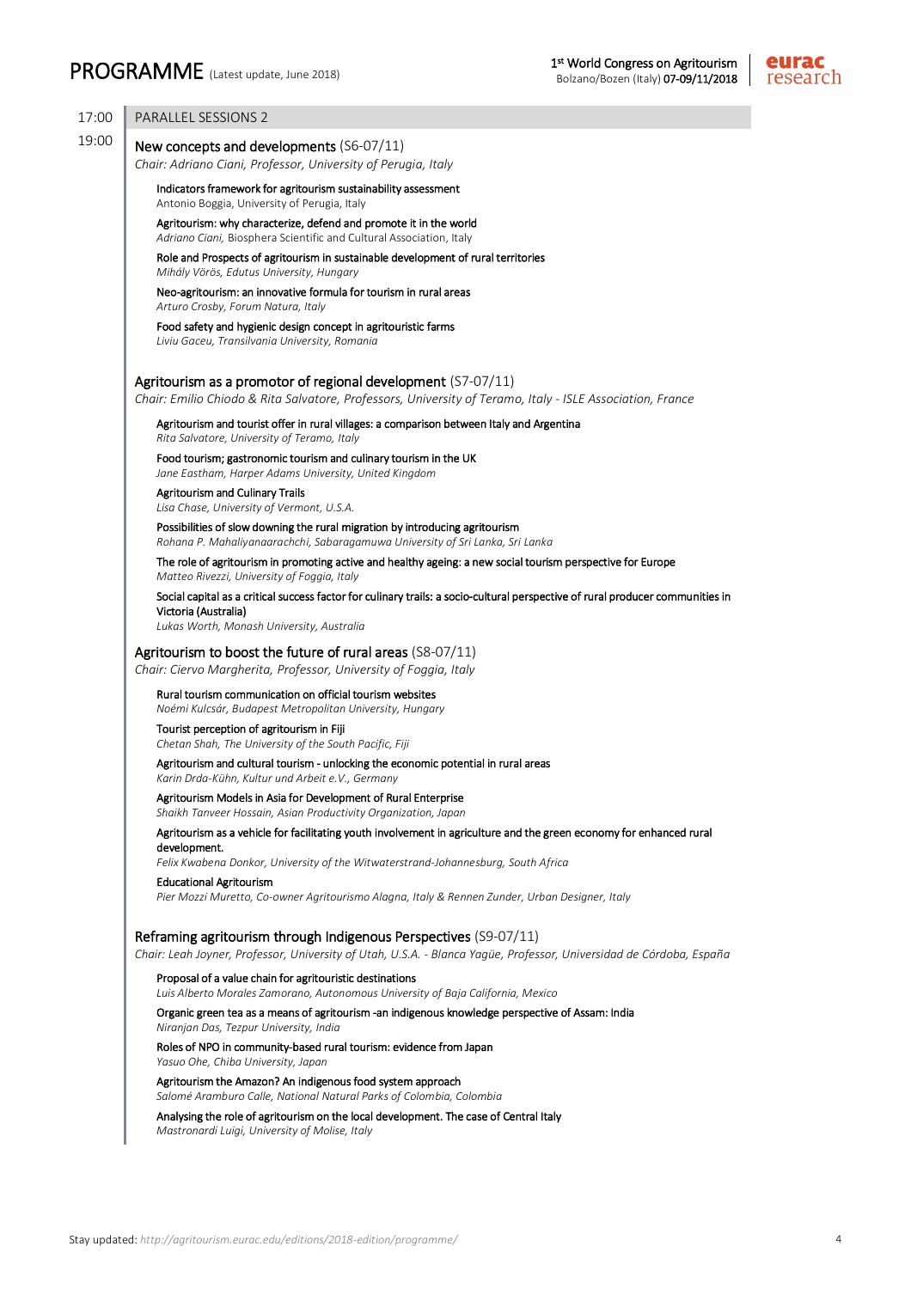

| 17:00 | <b>PARALLEL SESSIONS 2</b>                                                                                                                                                                                            |
|-------|-----------------------------------------------------------------------------------------------------------------------------------------------------------------------------------------------------------------------|
| 19:00 | New concepts and developments (S6-07/11)<br>Chair: Adriano Ciani, Professor, University of Perugia, Italy                                                                                                             |
|       | Indicators framework for agritourism sustainability assessment<br>Antonio Boggia, University of Perugia, Italy                                                                                                        |
|       | Agritourism: why characterize, defend and promote it in the world<br>Adriano Ciani, Biosphera Scientific and Cultural Association, Italy                                                                              |
|       | Role and Prospects of agritourism in sustainable development of rural territories<br>Mihály Vörös, Edutus University, Hungary                                                                                         |
|       | Neo-agritourism: an innovative formula for tourism in rural areas<br>Arturo Crosby, Forum Natura, Italy                                                                                                               |
|       | Food safety and hygienic design concept in agritouristic farms<br>Liviu Gaceu, Transilvania University, Romania                                                                                                       |
|       | Agritourism as a promotor of regional development (S7-07/11)<br>Chair: Emilio Chiodo & Rita Salvatore, Professors, University of Teramo, Italy - ISLE Association, France                                             |
|       | Agritourism and tourist offer in rural villages: a comparison between Italy and Argentina<br>Rita Salvatore, University of Teramo, Italy                                                                              |
|       | Food tourism; gastronomic tourism and culinary tourism in the UK<br>Jane Eastham, Harper Adams University, United Kingdom                                                                                             |
|       | <b>Agritourism and Culinary Trails</b><br>Lisa Chase, University of Vermont, U.S.A.                                                                                                                                   |
|       | Possibilities of slow downing the rural migration by introducing agritourism<br>Rohana P. Mahaliyanaarachchi, Sabaragamuwa University of Sri Lanka, Sri Lanka                                                         |
|       | The role of agritourism in promoting active and healthy ageing: a new social tourism perspective for Europe<br>Matteo Rivezzi, University of Foggia, Italy                                                            |
|       | Social capital as a critical success factor for culinary trails: a socio-cultural perspective of rural producer communities in<br>Victoria (Australia)<br>Lukas Worth, Monash University, Australia                   |
|       | Agritourism to boost the future of rural areas (S8-07/11)<br>Chair: Ciervo Margherita, Professor, University of Foggia, Italy                                                                                         |
|       | Rural tourism communication on official tourism websites<br>Noémi Kulcsár, Budapest Metropolitan University, Hungary                                                                                                  |
|       | Tourist perception of agritourism in Fiji<br>Chetan Shah, The University of the South Pacific, Fiji                                                                                                                   |
|       | Agritourism and cultural tourism - unlocking the economic potential in rural areas<br>Karin Drda-Kühn, Kultur und Arbeit e.V., Germany                                                                                |
|       | Agritourism Models in Asia for Development of Rural Enterprise<br>Shaikh Tanveer Hossain, Asian Productivity Organization, Japan                                                                                      |
|       | Agritourism as a vehicle for facilitating youth involvement in agriculture and the green economy for enhanced rural<br>development.                                                                                   |
|       | Felix Kwabena Donkor, University of the Witwaterstrand-Johannesburg, South Africa<br><b>Educational Agritourism</b><br>Pier Mozzi Muretto, Co-owner Agritourismo Alagna, Italy & Rennen Zunder, Urban Designer, Italy |
|       | Reframing agritourism through Indigenous Perspectives (S9-07/11)<br>Chair: Leah Joyner, Professor, University of Utah, U.S.A. - Blanca Yaqüe, Professor, Universidad de Córdoba, España                               |
|       | Proposal of a value chain for agritouristic destinations<br>Luis Alberto Morales Zamorano, Autonomous University of Baja California, Mexico                                                                           |
|       | Organic green tea as a means of agritourism -an indigenous knowledge perspective of Assam: India<br>Niranjan Das, Tezpur University, India                                                                            |
|       | Roles of NPO in community-based rural tourism: evidence from Japan<br>Yasuo Ohe, Chiba University, Japan                                                                                                              |
|       | Agritourism the Amazon? An indigenous food system approach<br>Salomé Aramburo Calle, National Natural Parks of Colombia, Colombia                                                                                     |
|       | Analysing the role of agritourism on the local development. The case of Central Italy<br>Mastronardi Luigi, University of Molise, Italy                                                                               |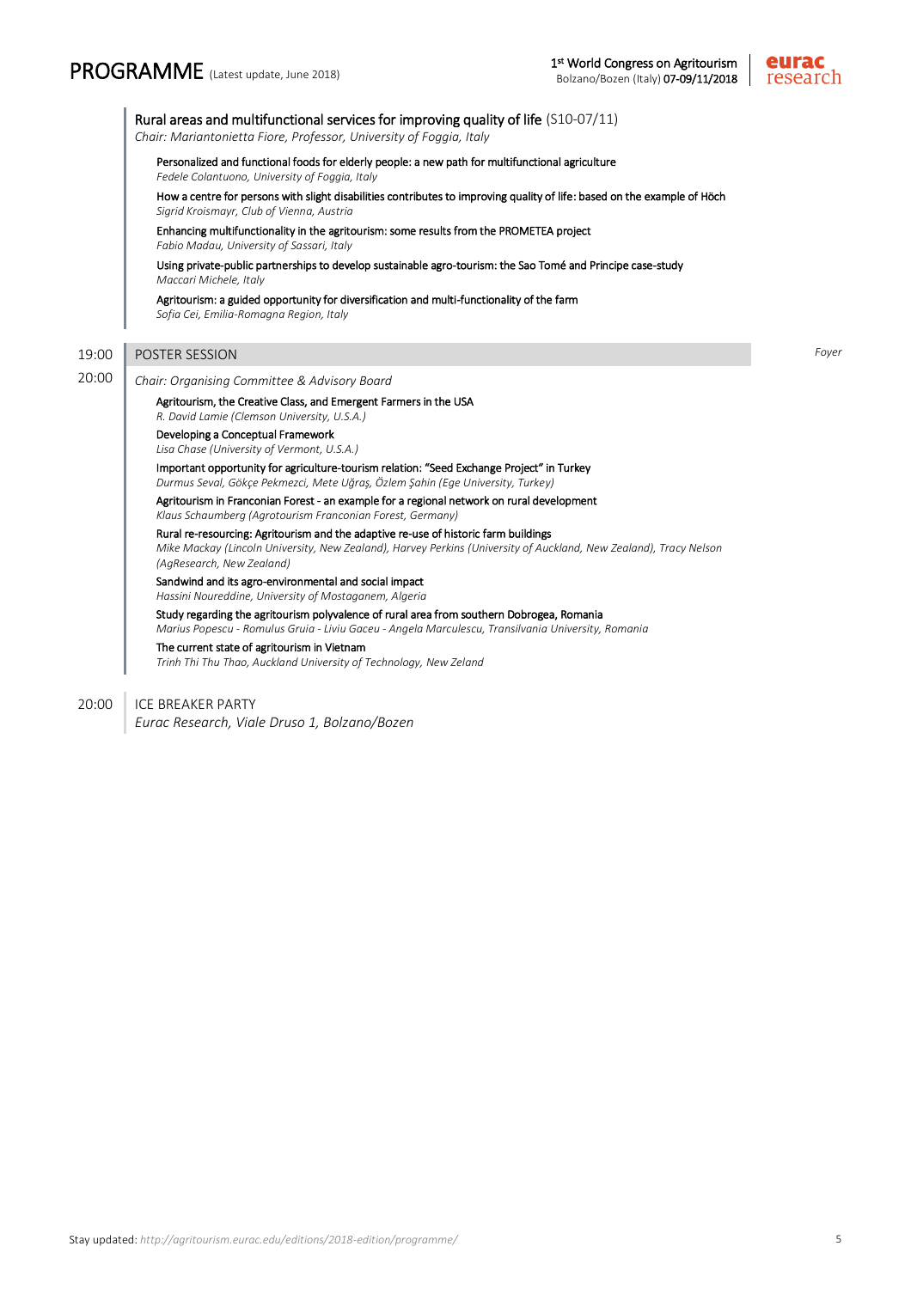## PROGRAMME (Latest update, June 2018)



 Rural areas and multifunctional services for improving quality of life (S10-07/11) *Chair: Mariantonietta Fiore, Professor, University of Foggia, Italy* Personalized and functional foods for elderly people: a new path for multifunctional agriculture *Fedele Colantuono, University of Foggia, Italy* How a centre for persons with slight disabilities contributes to improving quality of life: based on the example of Höch *Sigrid Kroismayr, Club of Vienna, Austria* Enhancing multifunctionality in the agritourism: some results from the PROMETEA project *Fabio Madau, University of Sassari, Italy* Using private-public partnerships to develop sustainable agro-tourism: the Sao Tomé and Principe case-study *Maccari Michele, Italy* Agritourism: a guided opportunity for diversification and multi-functionality of the farm *Sofia Cei, Emilia-Romagna Region, Italy* 19:00 POSTER SESSION *Foyer* 20:00 *Chair: Organising Committee & Advisory Board* Agritourism, the Creative Class, and Emergent Farmers in the USA *R. David Lamie (Clemson University, U.S.A.)* Developing a Conceptual Framework *Lisa Chase (University of Vermont, U.S.A.)* Important opportunity for agriculture-tourism relation: "Seed Exchange Project" in Turkey *Durmus Seval, Gökçe Pekmezci, Mete Uğraş, Özlem Şahin (Ege University, Turkey)* Agritourism in Franconian Forest - an example for a regional network on rural development *Klaus Schaumberg (Agrotourism Franconian Forest, Germany)* Rural re-resourcing: Agritourism and the adaptive re-use of historic farm buildings *Mike Mackay (Lincoln University, New Zealand), Harvey Perkins (University of Auckland, New Zealand), Tracy Nelson (AgResearch, New Zealand)* Sandwind and its agro-environmental and social impact *Hassini Noureddine, University of Mostaganem, Algeria* Study regarding the agritourism polyvalence of rural area from southern Dobrogea, Romania *Marius Popescu - Romulus Gruia - Liviu Gaceu - Angela Marculescu, Transilvania University, Romania* The current state of agritourism in Vietnam *Trinh Thi Thu Thao, Auckland University of Technology, New Zeland*

20:00 | ICE BREAKER PARTY

*Eurac Research, Viale Druso 1, Bolzano/Bozen*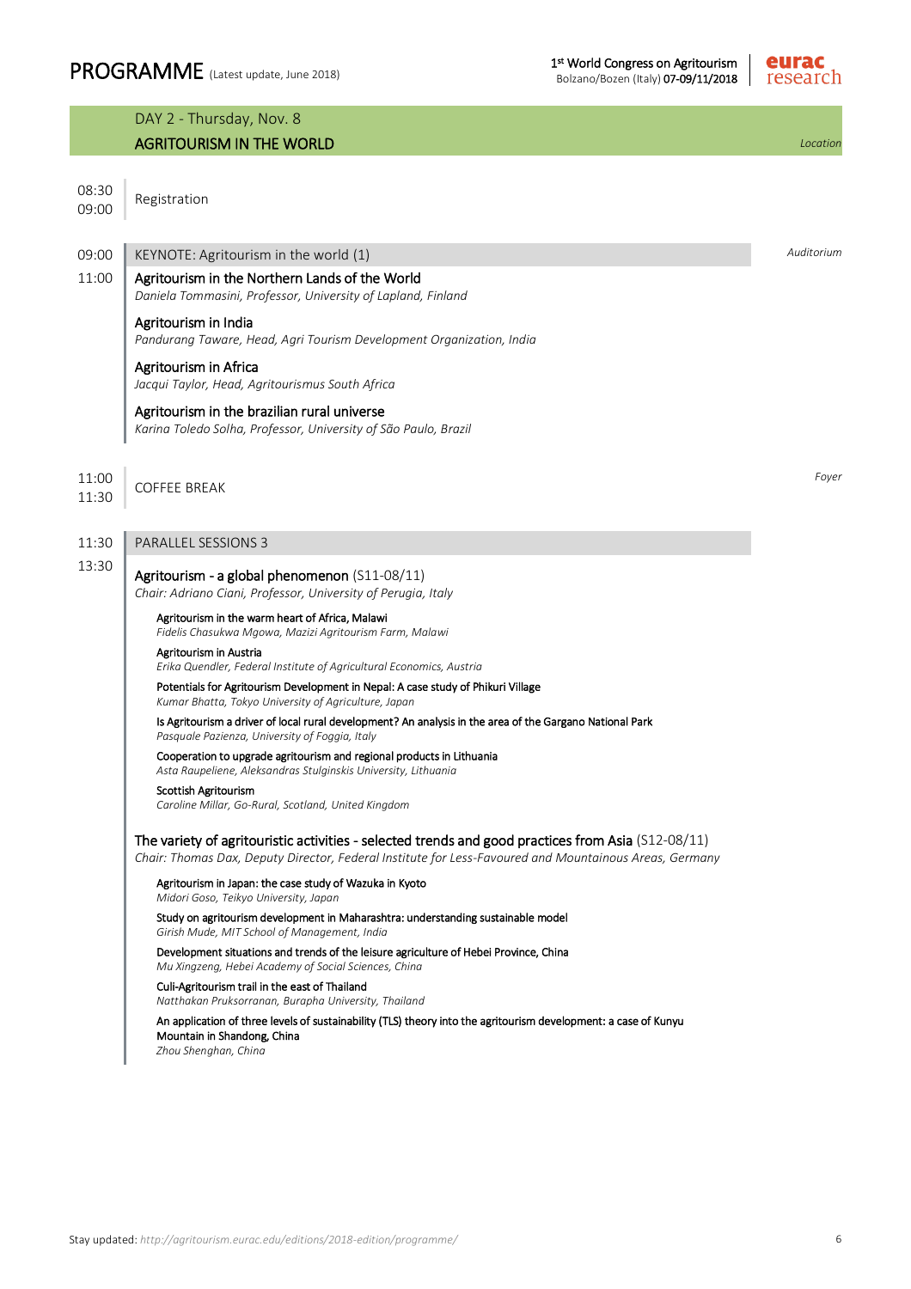

|                | DAY 2 - Thursday, Nov. 8                                                                                                                                                                                     |            |
|----------------|--------------------------------------------------------------------------------------------------------------------------------------------------------------------------------------------------------------|------------|
|                | <b>AGRITOURISM IN THE WORLD</b>                                                                                                                                                                              | Location   |
| 08:30<br>09:00 | Registration                                                                                                                                                                                                 |            |
| 09:00          | KEYNOTE: Agritourism in the world (1)                                                                                                                                                                        | Auditorium |
| 11:00          | Agritourism in the Northern Lands of the World<br>Daniela Tommasini, Professor, University of Lapland, Finland                                                                                               |            |
|                | Agritourism in India<br>Pandurang Taware, Head, Agri Tourism Development Organization, India                                                                                                                 |            |
|                | Agritourism in Africa<br>Jacqui Taylor, Head, Agritourismus South Africa                                                                                                                                     |            |
|                | Agritourism in the brazilian rural universe<br>Karina Toledo Solha, Professor, University of São Paulo, Brazil                                                                                               |            |
| 11:00<br>11:30 | <b>COFFEE BREAK</b>                                                                                                                                                                                          | Foyer      |
| 11:30          | <b>PARALLEL SESSIONS 3</b>                                                                                                                                                                                   |            |
| 13:30          | Agritourism - a global phenomenon (S11-08/11)<br>Chair: Adriano Ciani, Professor, University of Perugia, Italy                                                                                               |            |
|                | Agritourism in the warm heart of Africa, Malawi<br>Fidelis Chasukwa Mgowa, Mazizi Agritourism Farm, Malawi                                                                                                   |            |
|                | Agritourism in Austria<br>Erika Quendler, Federal Institute of Agricultural Economics, Austria                                                                                                               |            |
|                | Potentials for Agritourism Development in Nepal: A case study of Phikuri Village<br>Kumar Bhatta, Tokyo University of Agriculture, Japan                                                                     |            |
|                | Is Agritourism a driver of local rural development? An analysis in the area of the Gargano National Park<br>Pasquale Pazienza, University of Foggia, Italy                                                   |            |
|                | Cooperation to upgrade agritourism and regional products in Lithuania<br>Asta Raupeliene, Aleksandras Stulginskis University, Lithuania                                                                      |            |
|                | Scottish Agritourism<br>Caroline Millar, Go-Rural, Scotland, United Kingdom                                                                                                                                  |            |
|                | The variety of agritouristic activities - selected trends and good practices from Asia (S12-08/11)<br>Chair: Thomas Dax, Deputy Director, Federal Institute for Less-Favoured and Mountainous Areas, Germany |            |
|                | Agritourism in Japan: the case study of Wazuka in Kyoto<br>Midori Goso, Teikyo University, Japan                                                                                                             |            |
|                | Study on agritourism development in Maharashtra: understanding sustainable model<br>Girish Mude, MIT School of Management, India                                                                             |            |
|                | Development situations and trends of the leisure agriculture of Hebei Province, China<br>Mu Xingzeng, Hebei Academy of Social Sciences, China                                                                |            |
|                | Culi-Agritourism trail in the east of Thailand<br>Natthakan Pruksorranan, Burapha University, Thailand                                                                                                       |            |
|                | An application of three levels of sustainability (TLS) theory into the agritourism development: a case of Kunyu<br>Mountain in Shandong, China<br>Zhou Shenghan, China                                       |            |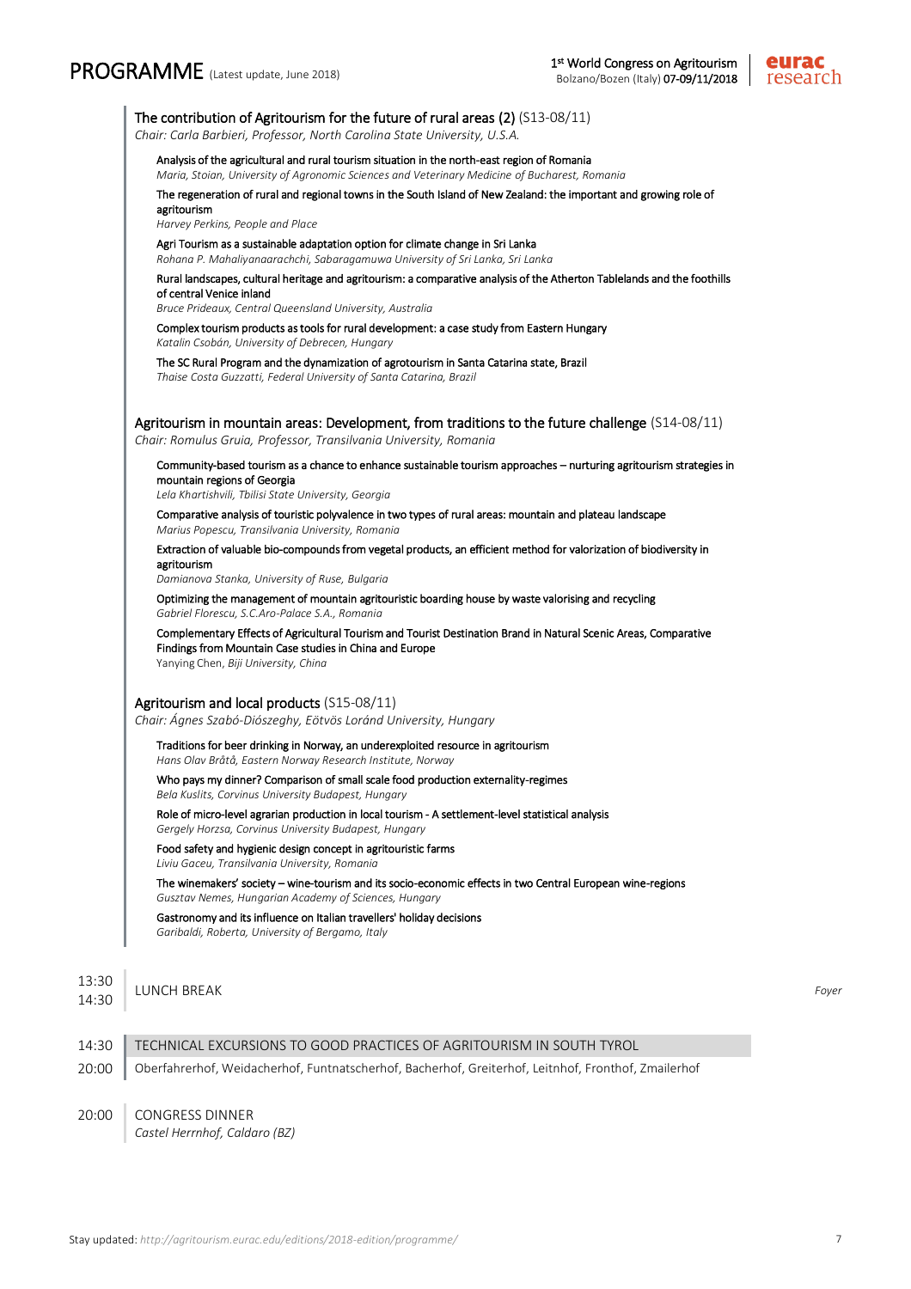

| Analysis of the agricultural and rural tourism situation in the north-east region of Romania<br>Maria, Stoian, University of Agronomic Sciences and Veterinary Medicine of Bucharest, Romania                       |  |
|---------------------------------------------------------------------------------------------------------------------------------------------------------------------------------------------------------------------|--|
| The regeneration of rural and regional towns in the South Island of New Zealand: the important and growing role of<br>agritourism<br>Harvey Perkins, People and Place                                               |  |
| Agri Tourism as a sustainable adaptation option for climate change in Sri Lanka<br>Rohana P. Mahaliyanaarachchi, Sabaragamuwa University of Sri Lanka, Sri Lanka                                                    |  |
| Rural landscapes, cultural heritage and agritourism: a comparative analysis of the Atherton Tablelands and the foothills<br>of central Venice inland<br>Bruce Prideaux, Central Queensland University, Australia    |  |
| Complex tourism products as tools for rural development: a case study from Eastern Hungary<br>Katalin Csobán, University of Debrecen, Hungary                                                                       |  |
| The SC Rural Program and the dynamization of agrotourism in Santa Catarina state, Brazil<br>Thaise Costa Guzzatti, Federal University of Santa Catarina, Brazil                                                     |  |
| Agritourism in mountain areas: Development, from traditions to the future challenge (S14-08/11)<br>Chair: Romulus Gruia, Professor, Transilvania University, Romania                                                |  |
| Community-based tourism as a chance to enhance sustainable tourism approaches - nurturing agritourism strategies in<br>mountain regions of Georgia<br>Lela Khartishvili, Tbilisi State University, Georgia          |  |
| Comparative analysis of touristic polyvalence in two types of rural areas: mountain and plateau landscape<br>Marius Popescu, Transilvania University, Romania                                                       |  |
| Extraction of valuable bio-compounds from vegetal products, an efficient method for valorization of biodiversity in<br>agritourism<br>Damianova Stanka, University of Ruse, Bulgaria                                |  |
| Optimizing the management of mountain agritouristic boarding house by waste valorising and recycling<br>Gabriel Florescu, S.C.Aro-Palace S.A., Romania                                                              |  |
| Complementary Effects of Agricultural Tourism and Tourist Destination Brand in Natural Scenic Areas, Comparative<br>Findings from Mountain Case studies in China and Europe<br>Yanying Chen, Biji University, China |  |
| Agritourism and local products (S15-08/11)                                                                                                                                                                          |  |
| Chair: Ágnes Szabó-Diószeghy, Eötvös Loránd University, Hungary                                                                                                                                                     |  |
| Traditions for beer drinking in Norway, an underexploited resource in agritourism<br>Hans Olav Bråtå, Eastern Norway Research Institute, Norway                                                                     |  |
| Who pays my dinner? Comparison of small scale food production externality-regimes<br>Bela Kuslits, Corvinus University Budapest, Hungary                                                                            |  |
| Role of micro-level agrarian production in local tourism - A settlement-level statistical analysis<br>Gergely Horzsa, Corvinus University Budapest, Hungary                                                         |  |
| Food safety and hygienic design concept in agritouristic farms<br>Liviu Gaceu, Transilvania University, Romania                                                                                                     |  |
| The winemakers' society - wine-tourism and its socio-economic effects in two Central European wine-regions<br>Gusztav Nemes, Hungarian Academy of Sciences, Hungary                                                 |  |
| Gastronomy and its influence on Italian travellers' holiday decisions<br>Garibaldi, Roberta, University of Bergamo, Italy                                                                                           |  |
| LUNCH BREAK                                                                                                                                                                                                         |  |
| TECHNICAL EXCURSIONS TO GOOD PRACTICES OF AGRITOURISM IN SOUTH TYROL                                                                                                                                                |  |
|                                                                                                                                                                                                                     |  |

20:00 CONGRESS DINNER

*Castel Herrnhof, Caldaro (BZ)*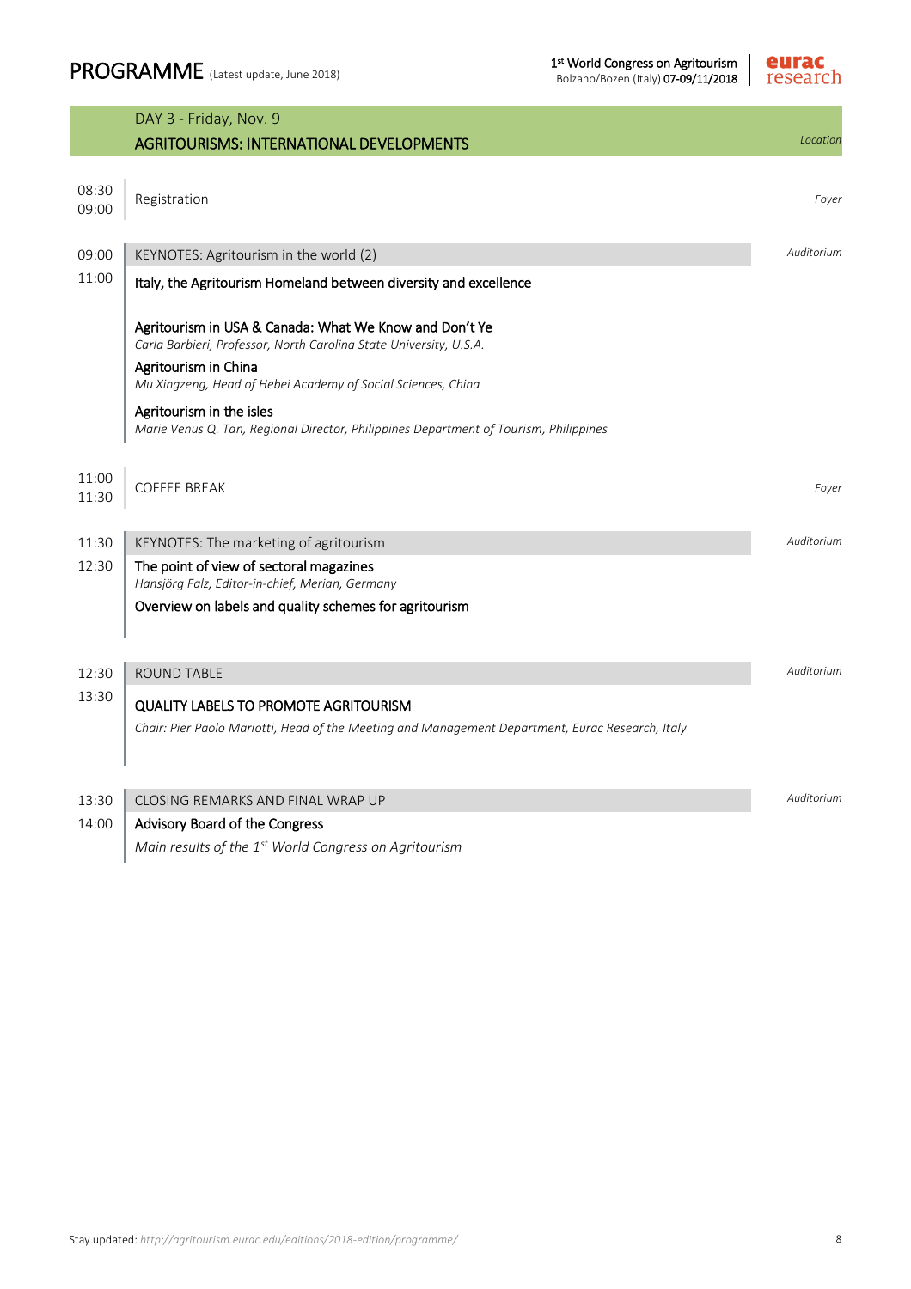

|                | DAY 3 - Friday, Nov. 9                                                                                                       |            |
|----------------|------------------------------------------------------------------------------------------------------------------------------|------------|
|                | <b>AGRITOURISMS: INTERNATIONAL DEVELOPMENTS</b>                                                                              | Location   |
| 08:30<br>09:00 | Registration                                                                                                                 | Foyer      |
| 09:00          | KEYNOTES: Agritourism in the world (2)                                                                                       | Auditorium |
| 11:00          | Italy, the Agritourism Homeland between diversity and excellence                                                             |            |
|                | Agritourism in USA & Canada: What We Know and Don't Ye<br>Carla Barbieri, Professor, North Carolina State University, U.S.A. |            |
|                | Agritourism in China<br>Mu Xingzeng, Head of Hebei Academy of Social Sciences, China                                         |            |
|                | Agritourism in the isles<br>Marie Venus Q. Tan, Regional Director, Philippines Department of Tourism, Philippines            |            |
| 11:00<br>11:30 | <b>COFFEE BREAK</b>                                                                                                          | Foyer      |
| 11:30          | KEYNOTES: The marketing of agritourism                                                                                       | Auditorium |
| 12:30          | The point of view of sectoral magazines<br>Hansjörg Falz, Editor-in-chief, Merian, Germany                                   |            |
|                | Overview on labels and quality schemes for agritourism                                                                       |            |
| 12:30          | <b>ROUND TABLE</b>                                                                                                           |            |
| 13:30          | <b>QUALITY LABELS TO PROMOTE AGRITOURISM</b>                                                                                 |            |
|                | Chair: Pier Paolo Mariotti, Head of the Meeting and Management Department, Eurac Research, Italy                             |            |
| 13:30          | CLOSING REMARKS AND FINAL WRAP UP                                                                                            | Auditorium |
| 14:00          | Advisory Board of the Congress                                                                                               |            |
|                | Main results of the 1 <sup>st</sup> World Congress on Agritourism                                                            |            |